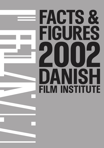# **FACTS & FIGURES 2002 DANISH**<br>FILM INSTITUTE FACTS &<br>
FIGURES<br>
2002<br>
DANISH<br>
FILM INSTITUTE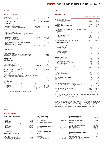# **KEY FIGURES DENMARK**

| Population (2002)<br>Government/political organization<br>Average G.D.P. per capita/per month (1999)<br>Regulatory body for media                                                                                                                                                                                                                                                                                                                                                                                                                                                                                            | [Euro 2,810 m] DKK 20,896 m                                                | 5.3 <sub>m</sub><br>Constitutional monarchy<br>Ministry of Cultural Affairs                                       |
|------------------------------------------------------------------------------------------------------------------------------------------------------------------------------------------------------------------------------------------------------------------------------------------------------------------------------------------------------------------------------------------------------------------------------------------------------------------------------------------------------------------------------------------------------------------------------------------------------------------------------|----------------------------------------------------------------------------|-------------------------------------------------------------------------------------------------------------------|
| <b>Budgets 2001</b><br>Total government subsidy to cinema activities<br>- hereof for production (feature films)<br>- hereof for production (shorts & documentaries)                                                                                                                                                                                                                                                                                                                                                                                                                                                          | [Euro 49 m]<br>[Euro 18.8 m]<br>[Euro 5.2 m]                               | DKK 364 m<br>DKK 140 m<br><b>DKK 39 m</b>                                                                         |
| <b>Production 2001</b><br><b>FEATURE FILMS</b><br>Danish feature films released<br>- supported by DFI (finance: national or "major" coproductions)<br>- of these: films for children and young people<br>Minor coproductions released (in DK and C.o.O. 2001) and supported by DFI<br>Average cost of a feature film<br>Average subsidy coverage<br>SHORT FILMS & DOCUMENTARIES<br>DFI Danish short films & documentaries<br>- allocated production support (5 released commercially)<br>- promotion support<br>- minor coproductions (C.o.O. offshore)<br>Average cost of a short & documentary<br>Average subsidy coverage | [Euro 1.6 m]<br>[Euro 0.718 m]                                             | 19<br>19<br>8<br>4<br>DKK 12.1 m<br>49%<br>50<br>32<br>16<br>2<br>DKK 1.6 m<br>46%                                |
| <b>Distribution 2001</b><br>Number of distributors<br>Number of films screened<br>Number of first releases<br>Average number of admission: national films released 2001<br>Average number of admissions: foreign films released 2001                                                                                                                                                                                                                                                                                                                                                                                         |                                                                            | 14<br>661<br>172<br>138,000<br>49,000                                                                             |
| <b>Exhibition 2001</b><br><b>CINEMAS</b><br>Number of cinemas<br>Number of screens<br>Number of seats (1000s)<br>Number of admissions per capita<br>Average ticket price incl. VAT<br>Average film rental percentage of GBO<br>Cinema admissions (national share 30 percent)<br>GBO incl. VAT (national share 28 percent)                                                                                                                                                                                                                                                                                                    | [Euro 7.30]<br>[Func 1.6 m]<br>[Euro 87 m]                                 | 165<br>361<br>55.200<br>2,22<br><b>DKK 54</b><br>44%<br><b>DKK 12 m</b><br>DKK 646 m                              |
| Television & Video 2000<br>Number of public nationwide broadcasting channels<br>[DR1; DR2 (satellite 74% coverage); TV 2; TV 2 Zulu]<br>Number of nationwide private channels [TV3, TV3+, Tv Danmark1; TvDanmark2]<br>TV, cable, satellite dish penetration of households:<br>TV<br>Cable<br>Satellite dish<br><b>VCR</b> penetration<br>DVD penetration<br>Video software market revenue (1999)<br>VHS rentals<br>DVD rentals<br>VHS sales revenue<br>DVD sales revenue                                                                                                                                                     | [Euro 160 m]<br>[Euro 70 m]<br>[Euro 0.780 m]<br>[Euro 85 m]<br>[Euro 5 m] | 4<br>4<br>97%<br>63%<br>16%<br>77%<br>7%<br>DKK 1,187 m<br>DKK 517 m<br>DKK 5.8 m<br>DKK 628 m<br><b>DKK 36 m</b> |
| (Source: Media Trends 2001, Nordicom, Göteborg University 2001)                                                                                                                                                                                                                                                                                                                                                                                                                                                                                                                                                              |                                                                            |                                                                                                                   |

**TABLE 2**

#### **DFI BUDGET 2002**

|                                                                                           | <b>EURO (1000S)</b> | <b>DKK (1000S)</b> |
|-------------------------------------------------------------------------------------------|---------------------|--------------------|
| PRODUCTION & DEVELOPMENT                                                                  |                     |                    |
| <b>Feature films subsidies</b>                                                            |                     |                    |
| - Production (consultant scheme)                                                          | 11,507              | 85,500             |
| - Production (60-40 scheme)                                                               | 4,980               | 37,000             |
| - Script (consultant scheme)                                                              | 1,009               | 7,500              |
| - Development                                                                             | 1,346               | 10,000             |
| Shorts & documentaries subsidies                                                          |                     |                    |
| - Production                                                                              | 4,441               | 33,000             |
| - Script & development<br>(shorts & documentaries: 22.500 / ch-y: 7,500 / reserve: 3,000) | 808                 | 6,000              |
| <b>Other subsidies</b>                                                                    |                     |                    |
| - Workshops                                                                               | 67                  | 500                |
| - Workshops (external)                                                                    | 269                 | 2,000              |
| - Multimedie Pilot Project                                                                | 404                 | 3,000              |
| - Short Fiction Film Denmark                                                              | 538                 | 4,000              |
| - Eurimages & NFTF                                                                        | 1.211               | 9.000              |
| - Reserve                                                                                 | 1,157               | 8,600              |
|                                                                                           |                     |                    |
| TOTAL ALLOCATION PRODUCTION & DEVELOPMENT                                                 | 27,739              | 206,100            |
|                                                                                           |                     |                    |
| <b>DISTRIBUTION &amp; MARKETING</b><br><b>Feature films</b>                               |                     |                    |
| - Promotion/marketing subsidies                                                           | 1,615               | 12,000             |
| - Print subsidies                                                                         | 740                 | 5,500              |
| - Import of quality films                                                                 | 296                 | 2,200              |
| - Promotion - festivals abroad                                                            | 323                 | 2,400              |
| - Promotion - sales abroad                                                                | 135                 | 1,000              |
| - Promotion - Denmark                                                                     | 269                 | 2,000              |
| - Subtitling and dubbing                                                                  | 67                  | 500                |
| - Bunny's Talesproject                                                                    | 135                 | 1,000              |
| <b>SUBTOTAL</b>                                                                           | 3,580               | 26,600             |
|                                                                                           |                     |                    |
| <b>Shorts &amp; documentaries</b>                                                         |                     |                    |
| - Promotions subsidies                                                                    | 269                 | 2,000              |
| - Print subsidies<br>- Acquisition of (copy)rights                                        | 202<br>202          | 1,500<br>1,500     |
| - Acquisition of shorts & documentaries                                                   | 269                 | 2,000              |
| - Acquisition of licences                                                                 | 74                  | 550                |
| - Promotion - festivals                                                                   | 202                 | 1,500              |
| - Reserve (DVD and educational material)                                                  | 202                 | 1,500              |
| <b>SUBTOTAL</b>                                                                           | 1,420               | 10,550             |
|                                                                                           |                     |                    |
| <b>Cinemas</b>                                                                            |                     |                    |
| - Cinema refurbishment                                                                    | 283                 | 2,100              |
| - Art cinemas                                                                             | 336                 | 2,500              |
| - Cinema re-establishment                                                                 | 135                 | 1,000              |
| <b>SUBTOTAL</b>                                                                           | 754                 | 5,600              |
| Center for Children & Young People                                                        | 336                 | 2,500              |
| Media Desk                                                                                | 81                  | 600                |
| Reserve                                                                                   | 34                  | 250                |
|                                                                                           | 451                 | 3.350              |
|                                                                                           |                     |                    |
| TOTAL ALLOCATION DISTRIBUTON & MARKETING                                                  | 6,205               | 46,100             |
| TOTAL ALLOCATION FOR GRANTS FOR SPECIFIC PURPOSES                                         |                     |                    |
| - (publications, education, organizations etc.)                                           | 497                 | 3,700              |
| TOTAL ALLOCATION FOR SUBSIDY PURPOSES                                                     | 34,441              | 255,900            |
| TOTAL OPERATION COSTS                                                                     | 14,522              | 107,900            |
|                                                                                           |                     |                    |
| <b>TOTAL</b>                                                                              | 48,964              | 363,800            |
|                                                                                           |                     |                    |

**Note 1)** Total operation costs include the DFI Archive, Library, Cinematheque, Videotheque, Café and public facilities. **Note 2)** Currency conversion: ECU l = DKK 7.43

The Danish Film Institute is a state organization under the aegis of the Ministry of Culture, and like other state bodies it is allocated funds for the year ahead when Folketinget (the Danish parliament)<br>adopts Finansloven (the Annual Budget). For 2002 the DFI was granted DKK 364 m [Euro 49 m].<br>The DFI employs almost 150 pe

#### **TABLE 3**

# **DFI ACTIVITIES 2001**

| <b>PRODUCTION &amp; DEVELOPMENT</b> |            |
|-------------------------------------|------------|
| Number of subsidies (feature film)  |            |
| - Script                            | 107 titles |
| - Development                       | 38 titles  |
| - Production                        | 24 titles  |
| Number of subsidies (shorts & docu) |            |
| - Script                            | 98 titles  |
| - Development                       | 41 titles  |
| - Production                        | 54 titles  |
| Number of productions: Workshops    |            |
| - Film Workshop Copenhagen          | 29 titles  |
| - Workshop Haderslev                | 27 titles  |
| <b>DISTRIBUTION &amp; MARKETING</b> |            |
| Promotion                           |            |
| Promotion subsidies (feature film)  | 21 titles  |
| Promotion subsidies (shorts & docu) | titles     |
| Print subsidies (feature film)      | titles     |
| Print subsidies (shorts & docu)     | titles     |

**Distribution/Exhibition** Import grants (feature film) … titles Cinema refurbishment 35 cinemas reading a responsibility of the matrice of the contract of the contract of the contract of the contract of the contract of the contract of the contract of the contract of the contract of the contract of the contract of the **DFI distribution unit: catalogue**  Catalogue >20 **DFI distribution unit: sales & rentals** Video sales 28,333 units Video rentals 10,768 units **ARCHIVE & CINEMATHEQUE \_\_\_\_\_\_\_\_\_\_\_\_\_\_\_\_\_\_\_\_\_\_\_\_\_\_ Film Archive** Catalogue 31,464 titles Restoration - feature film - shorts & documentary 22 titles in the shorts of the shorts of the shorts of the shorts of the shorts of the s<br>22 titles in the short of the shorts of the shorts of the shorts of the short of the short of the short of the Circulation

| titles<br>cinemas<br>cinemas | <b>Stills &amp; Poster Archive</b><br>Number of stills files<br>Number of posters<br>Number of service transactions | 45,000<br>19,455<br>4,052 |
|------------------------------|---------------------------------------------------------------------------------------------------------------------|---------------------------|
|                              | Library                                                                                                             |                           |
| 00 titles                    | Books, periodicals & annuals                                                                                        | 60.918 units              |
|                              | Clippings (film titles and individuals)                                                                             | 51.894 units              |
|                              | Microfilm-jackets                                                                                                   | 6,990 untis               |
| 33 units                     | Unpublished film scripts                                                                                            | 13.214 units              |
| 68 units                     | Periodicals / annuals in subscription                                                                               | 455 units                 |
|                              | Library service                                                                                                     | 21.102 transactions       |
|                              | Cinematheque & public facilities                                                                                    |                           |
|                              | Number of screenings                                                                                                | 2,343                     |
| 64 titles                    | Number of admissions                                                                                                | 100,306                   |
|                              | Number of subscribers                                                                                               | 4.977                     |
| 10 titles                    | Average number of admissions per screening                                                                          | 43                        |
| 22 titles                    | Children's Cinema (screenings)                                                                                      | 270                       |
| 69 titles                    | Children's Cinema (number of admissions)                                                                            | 5.600                     |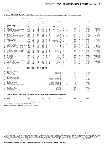#### **SHORTS & DOCUMENTARIES / RELEASES 2001**

All films below have either been allocated a DFI production grant or are included in DFI's promotion and non-commercial distribution (i.e. festival and educational screenings).

|                | Danish title / English title<br>Production costs                                                               |                |             |                      | DFI subsidy  |             |                  |                                                          |           |      |      |              |           |                                   |                          |                       |
|----------------|----------------------------------------------------------------------------------------------------------------|----------------|-------------|----------------------|--------------|-------------|------------------|----------------------------------------------------------|-----------|------|------|--------------|-----------|-----------------------------------|--------------------------|-----------------------|
|                |                                                                                                                | 1000s          |             |                      | 1000s        |             |                  |                                                          |           |      |      |              |           |                                   |                          |                       |
|                |                                                                                                                | <b>DKK</b>     | <b>EURO</b> | %                    | <b>DKK</b>   | <b>EURO</b> |                  | Participation                                            |           |      |      |              |           |                                   | Release                  |                       |
|                | a                                                                                                              | $\mathbf b$    |             | $\mathbf{c}$         | d            |             | e                |                                                          | g         | h    |      |              | k         |                                   | m                        | n                     |
|                |                                                                                                                |                |             |                      |              |             |                  |                                                          |           |      |      |              |           |                                   |                          |                       |
|                | <b>DANISH PRODUCTIONS</b>                                                                                      |                |             |                      |              |             |                  |                                                          |           |      |      |              |           |                                   |                          |                       |
| 1              | Alice og Emil / Getting the Picture                                                                            | 1,553          | 209         | 47                   | 730          | 98          | a                | dk-[dr]-[nftf]-[mp]                                      | td        | ch-y | anim | fict         | 7         |                                   | 2001.02.23               | Arken                 |
| 2              | Babelstårnet                                                                                                   |                |             | $\ddot{\phantom{a}}$ | 700          | 94          | b                |                                                          | abn       |      |      | docu         |           |                                   | 2001.00.00               | Skt.Nikolaj           |
| 3              | Blod og håb/ Seasons of Blood and Hope [*] 2,713                                                               |                | 365         | 50                   | 1.361        | 183         | b                | dk-no-se-[dr]-[nftf]                                     | abn       |      |      | docu         | 70        | $\ddot{\phantom{a}}$              | 2001.04.06               | dfi-distr             |
| 4<br>5         | Elefanten og sommerfuglen<br>Epidemien / The Epidemic                                                          | 938<br>1,480   | 126<br>199  | 89<br>68             | 837<br>1.000 | 113<br>135  | b<br>$\mathsf a$ | dk<br>dk-[dr]                                            | td<br>abn | ch-y |      | fict<br>docu | 21<br>50  | $\cdots$                          | 2001.07.19<br>2001.03.14 | dfi-distr<br>Dagmar   |
| 6              | Ernst-filmene 1)                                                                                               | 4,020          | 541         | 42                   | 1,700        | 229         | $\mathsf a$      | dk-fi-is-no-se-[dr]-[nftf]                               | td        | ch-y | anim | fict         | 42        | $\cdots$                          | 2001.00.00               | dfi-distr             |
| $\overline{7}$ | Family/Family [*]                                                                                              | 1,460          | 197         | 65                   | 950          | 128         | $\mathsf a$      | dk                                                       | jh        |      |      | docu         | 90        | $\cdots$<br>$\ddotsc$             | 2001.11.09               | Grand                 |
| 8              | Filmskatten/ The Cinematic Treasure 2)                                                                         | 2,273          | 306         | 62                   | 1,400        | 188         | b                | dk-[nftf]                                                | td        | ch-y |      | int.akt.     |           | $\cdots$                          | 2001.10.01               | <b>Buster FF</b>      |
| 9              | FodboldDrengen/ The Soccer Boy                                                                                 | 1.613          | 217         | 31                   | 500          | 67          | a                | dk-[dr]-[nftf]                                           | td        | ch-y |      | docu         | 45        | $\ddotsc$                         | 2001.01.25               | dfi-distr             |
| 10             | Glistrup                                                                                                       | 769            | 104         | 61                   | 469          | 63          | a                | dk                                                       | jh        |      |      | docu         | 59        | dr                                | 2001.04.19               | dr tv                 |
| 11             | Helgoland/Helgoland                                                                                            | 428            | 58          | 90                   | 385          | 52          | b                | dk                                                       | jh        |      |      | docu         | 12        |                                   | 2001.02.16               | dfi-distr             |
| 12             | Jesus Christ Airlines                                                                                          | 3,653          | 492         | 15                   | 550          | 74          | b                | dk-gb-ir-is-no-se-[nftf]                                 | jh        |      |      | docu         | 60        | $\mathbf{u}$                      | 2001.11.29               | Park Bio              |
| 13             | Malakota                                                                                                       | 1.415          | 190         | 53                   | 750          | 101         | $\mathsf a$      | dk-no-se-[dr]-[nftf]                                     | td        |      |      | docu         | 60        |                                   | 2001.07.19               | dfi-distr             |
| 14             | Malaria!                                                                                                       | 717            | 97          | 56                   | 400          | 54          | $\mathsf a$      | dk                                                       | abn       |      |      | docu         | 46        |                                   | 2001.10.19               | dfi-distr             |
| 15             | Min egen motorhest                                                                                             | 599            | 81          | 83                   | 500          | 67          | a                | dk                                                       | td        | ch-y |      | docu         | 25        |                                   | 2001.10.18               | dfi-distr             |
| 16             | Mødet med den fremmede (Levende ord 3) 1,177                                                                   |                | 158         | 59                   | 700          | 94          | $\mathsf a$      | dk                                                       | jh        |      |      | docu         | 59        | $\mathbf{u}$                      | 2001.10.19               | dfi-distr             |
| 17             | Ny fattigdom, den                                                                                              | 663            | 89          | 44                   | 293          | 39          | $\mathsf a$      | dk                                                       | abn       |      |      | docu         | 50        | $\cdots$                          | 2001.11.10               | Park Bio              |
| 18<br>19       | Omklædningsrummet/ The Locker Room<br>Omvej til frihed/ Detour to Freedom [*]                                  | 875<br>1,856   | 118<br>250  | 70<br>27             | 610<br>500   | 82<br>67    | $\mathsf a$<br>a | dk-[tv2]<br>dk-fi-se-[nftf]                              | td<br>jh  | ch-y |      | docu<br>docu | 25<br>81  |                                   | 2001.11.16<br>2001.08.31 | Cinemateket<br>Empire |
| 20             | Pigen i havnen/ Faith, Love and Charity [*]                                                                    | 1,244          | 167         | 65                   | 811          | 109         | b                | dk-gb-se-[dr]                                            | abn       |      |      | docu         | 83        | $\ldots$                          | 2001.09.24               | Øst f.Paradis         |
| 21             | Portræt af Gud/ Portrait of God [*]                                                                            | 3,261          | 439         | 40                   | 1.300        | 175         | b                | dk-fi-no-se-[dr]                                         | abn       |      |      | docu         | 80        | $\ddotsc$<br>$\ddotsc$            | 2001.04.20               | Grand                 |
| 22             | På ama'r                                                                                                       | 2,395          | 322         | 42                   | 1,000        | 135         | $\mathsf a$      | dk                                                       | jh        |      |      | fict         | 42        | $\ddotsc$                         | 2001.08.17               | Gloria                |
| 23             | Radiofolket/Talkradio                                                                                          | 698            | 94          | 59                   | 415          | 56          | $\mathsf a$      | dk                                                       | jh        |      |      | docu         | 28        | $\ddotsc$                         | 2001.04.24               | dfi-distr             |
| 24             | Rod i familien                                                                                                 | 1,120          | 151         | 43                   | 476          | 64          | $\mathsf a$      | dk-[dr]                                                  | abn       |      |      | docu         | 58        | $\ddotsc$                         | 2001.02.06               | Cinemateket           |
| 25             | Rod i familien - del 2                                                                                         | 757            | 102         | 39                   | 297          | 40          | $\mathsf a$      | dk-[dr]                                                  | abn       |      |      | docu         | 59        | $\cdots$                          | 2001.02.06               | Cinemateket           |
| 26             | Råt for usødet                                                                                                 | 1,024          | 138         | 61                   | 625          | 84          | $\mathsf a$      | $dk$ [tv2]                                               | abn       |      |      | docu         | 52        | $\ddotsc$                         | 2001.05.30               | dfi-distr             |
| 27             | Stjålne alfabet, det                                                                                           | 321            | 43          | 74                   | 238          | 32          | a                | dk                                                       | abn       |      |      | docu         | 39        |                                   | 2001.04.10               | Cinemateket           |
| 28             | Storm P. opfindelser/ Storm P. Inventions                                                                      | 1.193          | 161         | 59                   | 700          | 94          | $\mathsf a$      | dk-[dr]-[nftf]                                           | td        | ch-y |      | docu         | 15        | $\ddotsc$                         | 2001.08.29               | Nationalmuseet        |
| 29             | To må man være                                                                                                 | 917            | 123         | 55                   | 501          | 67          | a                | dk-[dr]                                                  | abn       |      |      | docu         | 101       | $\ddotsc$                         | 2001.09.28               | Cinemateket           |
| 30<br>31       | Trækfugle/ Birds of Passage<br>Tugt og utugt / Part I & Part II                                                | 3,617<br>2,086 | 487<br>281  | 29<br>14             | 1,050<br>300 | 141<br>40   | b<br>b           | dk-[tv2]<br>dk-se-[nftf]                                 | abn<br>jh |      |      | fict<br>docu | 40<br>116 | $\cdots$                          | 2001.11.26<br>2001.10.18 | Dagmar<br>dfi-distr   |
| 32             | Y - fædre og sønner                                                                                            | 1,311          | 176         | 69                   | 900          | 121         | $\mathsf a$      | dk                                                       | jh        |      |      | docu         | 80        | $\ddotsc$<br>$\ddot{\phantom{a}}$ | 2001.09.17               | dfi-distr             |
|                |                                                                                                                |                |             |                      |              |             |                  |                                                          |           |      |      |              |           |                                   |                          |                       |
|                | Total                                                                                                          | 48,147         | 6,480       | 46                   | 22,249       | 2.994       |                  |                                                          |           |      |      |              |           |                                   |                          |                       |
|                | Average                                                                                                        | 1,553          | 209         | 46                   | 718          | 97          |                  |                                                          |           |      |      |              |           |                                   |                          |                       |
| 33             | Connections - Ray Johnson                                                                                      |                |             |                      |              |             |                  |                                                          |           |      |      |              |           |                                   |                          |                       |
|                | / Connections - Ray Johnson                                                                                    |                |             |                      |              |             |                  | DFI-Workshop                                             |           |      |      | docu         |           |                                   | 2001.04.05               |                       |
| 34             | Escape/Escape                                                                                                  |                |             |                      |              |             |                  | DFI-Workshop                                             |           |      |      | fict         |           |                                   | 2001.08.12               |                       |
| 35             | Sofies hjerte/ Sofie's Heart                                                                                   |                |             |                      |              |             |                  | DFI-Workshop                                             |           | ch-y |      | docu         |           |                                   | 2001.02.01               |                       |
| 36             | Søn/Son                                                                                                        |                |             |                      |              |             |                  | DFI-Workshop                                             |           |      |      | docu         |           |                                   | 2001.06.07               |                       |
| 37             | Den gang jeg slog tiden ihjel                                                                                  |                |             |                      |              |             |                  |                                                          |           |      |      |              |           |                                   |                          |                       |
|                | / Curiosity Killed the Fish                                                                                    |                |             |                      |              |             |                  | Short Fiction Film Denmark                               |           |      |      | fict         |           |                                   | 2001.12.10               |                       |
| 38<br>39       | Gråvejr/ Another Blue Day<br>Kys Kys/ Kiss Kiss                                                                |                |             |                      |              |             |                  | Short Fiction Film Denmark<br>Short Fiction Film Denmark |           |      |      | fict<br>fict |           |                                   | 2001.01.03               |                       |
| 40             | Se mig nu/ Look At Me                                                                                          |                |             |                      |              |             |                  | Short Fiction Film Denmark                               |           | ch-y |      | fict         |           |                                   | 2001.04.25<br>2002.09.26 |                       |
| 41             | Skoda/ Skoda                                                                                                   |                |             |                      |              |             |                  | Short Fiction Film Denmark                               |           |      |      | fict         |           |                                   | 2001.12.10               |                       |
| 42             | Susanne Sillemann/ Susanne Sillemann                                                                           |                |             |                      |              |             |                  | Short Fiction Film Denmark                               |           | ch-y |      | fict         |           |                                   | 2001.02.00               |                       |
| 43             | To kvinder/ Two Women                                                                                          |                |             |                      |              |             |                  | Short Fiction Film Denmark                               |           |      |      | fict         |           |                                   | 2001.01.17               |                       |
| 44             | Anne Franks rejse                                                                                              |                |             |                      |              |             |                  | Acquisition                                              |           |      |      | docu         |           |                                   | 2001.09.17               |                       |
| 45             | Ka' vi være det bekendt                                                                                        |                |             |                      |              |             |                  | Acquisition                                              |           |      |      | docu         |           |                                   | 2001.04.03               |                       |
| 46             | Min største gave                                                                                               |                |             |                      |              |             |                  | Acquisition                                              |           |      |      | docu         |           |                                   | 2001.09.17               |                       |
| 47             | Staceyann Chin/ Staceyann Chin                                                                                 |                |             |                      |              |             |                  | Acquisition                                              |           |      |      | docu         |           |                                   | 2001.07.26               |                       |
| 48             | Tro, håb og batman/ Faith, Hope and Batman                                                                     |                |             |                      |              |             |                  | Acquisition                                              |           | ch-y |      | fict         |           |                                   | 2001.07.06               |                       |
|                | OFFSHORE COPRODUCTIONS / MINOR / The following overview is limited to films which have received a DFI-subsidy. |                |             |                      |              |             |                  |                                                          |           |      |      |              |           |                                   |                          |                       |
|                | 49 Lyset holder mig med selskab                                                                                | 3,734          |             |                      | 450          |             | a                | dk-no-se                                                 | abn       |      |      | docu         |           |                                   | 2001.10.18               |                       |
| 50             | Respect!                                                                                                       | 1.300          |             |                      | 200          |             | b                | dk-fi-se                                                 | ih        | y    |      | docu         |           |                                   | 2001.01.18               |                       |

**Note 1)** Ernst-filmene: 1) Ernst på skøjter/ Ernst Goes Skating; 2) 6) Ernst på togrejse/ Ernst and the Train Journey; 3) Ernst i Tivoli/ Ernst in Tivoli; 4) Ernst og fodbolden/ Ernst and His New Football;<br>5) Ernst i svøm

**Note 2)** A non-commercial edu-tainment dvd-rom about film for children.

**Note 3)** Tiltles marked with [\*] have been given a commercial release.

COLUMNS Column a: Distribution title in Denmark/abroad. Column b: production costs. Column c: percent of dfi subsidy to production costs. Column d: dfi subsidy. Column e: either "a" for account-figures or "b"<br>for budget-fi mation. Column j: category · [docu]: documentary, [fict]: fiction, [expe]: experimental. [int.akt.]: interactive. Column k: length in minutes. Column l: First television screening [dr]: DRTV, [tv2]: TV 2/Danmark. Colum

**For further information go to: www.dfi.dk. Click on 'links & databaser'. Click on 'distributionskataloget' or 'Danish Films'.**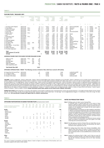#### **FEATURE FILMS / RELEASES 2001**

| English title                                                                                                                                                                                                                                                                                                                                                                                                          | Release                                                                                                                                                                                                                                                                |                                                                              | Admissions<br>as of<br>01.05.02<br>(1000s) | Admissions<br>as of<br>31.12.01<br>(1000s)                                                                                                 |                                                                                                                                                                     |                                                                                                                                                                     | costs<br><b>DKK</b><br>(1000s)                                                                                                                                                          | Production Production<br>costs<br><b>EURO</b><br>(1000s)                                                                                                             |                                                                                                                   | DFI<br>subsidy<br><b>DKK</b><br>(1000s)                                                                                                                                  | <b>EURO</b><br>(1000s)                                                                                                                          | Participation                                                                                                                                                                                                                                                         | Subsidy<br>type                                                                                                                                             |                                                                                                                                                                               |                                                                                                                                                                                                 |                                                                                                                                                                                       |      |                                                                                                                  |
|------------------------------------------------------------------------------------------------------------------------------------------------------------------------------------------------------------------------------------------------------------------------------------------------------------------------------------------------------------------------------------------------------------------------|------------------------------------------------------------------------------------------------------------------------------------------------------------------------------------------------------------------------------------------------------------------------|------------------------------------------------------------------------------|--------------------------------------------|--------------------------------------------------------------------------------------------------------------------------------------------|---------------------------------------------------------------------------------------------------------------------------------------------------------------------|---------------------------------------------------------------------------------------------------------------------------------------------------------------------|-----------------------------------------------------------------------------------------------------------------------------------------------------------------------------------------|----------------------------------------------------------------------------------------------------------------------------------------------------------------------|-------------------------------------------------------------------------------------------------------------------|--------------------------------------------------------------------------------------------------------------------------------------------------------------------------|-------------------------------------------------------------------------------------------------------------------------------------------------|-----------------------------------------------------------------------------------------------------------------------------------------------------------------------------------------------------------------------------------------------------------------------|-------------------------------------------------------------------------------------------------------------------------------------------------------------|-------------------------------------------------------------------------------------------------------------------------------------------------------------------------------|-------------------------------------------------------------------------------------------------------------------------------------------------------------------------------------------------|---------------------------------------------------------------------------------------------------------------------------------------------------------------------------------------|------|------------------------------------------------------------------------------------------------------------------|
| a                                                                                                                                                                                                                                                                                                                                                                                                                      | b                                                                                                                                                                                                                                                                      | c                                                                            | d                                          | e                                                                                                                                          | f                                                                                                                                                                   | g                                                                                                                                                                   | h                                                                                                                                                                                       |                                                                                                                                                                      |                                                                                                                   |                                                                                                                                                                          |                                                                                                                                                 | k                                                                                                                                                                                                                                                                     |                                                                                                                                                             | m                                                                                                                                                                             | n                                                                                                                                                                                               | $\circ$                                                                                                                                                                               | p    | $\mathsf{C}$                                                                                                     |
| 1 The King Is Alive (Dogme)<br>2 Prop & Berta<br>3 Jewel of the Desert<br>4 The Flying Granny<br>5 Count Axel<br>6 Bunny's Tales 4<br>7 Truly Human<br>8 Kat<br>9 Send More Candy<br>10 Anja & Viktor<br>11 Leïla<br>12 One-hand Clapping<br>13 Mona's World<br>14 My Sister's Kids<br>15 Jolly Roger<br>16 Kira's Reason - A Love Story<br>17 Chop Chop<br>18 Shake It All About<br>19 The Olsen Gang Junior<br>Total | 2001.01.05<br>2001.01.26<br>2001.02.02<br>2001.02.09<br>2001.04.06<br>2001.04.06<br>2001.04.27<br>2001.06.08<br>2001.07.06<br>2001.08.03<br>2001.08.17<br>2001.08.17<br>2001.09.07<br>2001.10.12<br>2001.10.12<br>2001.10.26<br>2001.11.02<br>2001.11.16<br>2001.12.14 | f-ch-y<br>f-ch-y<br>f-ch-v<br>f-ch-v<br>f-ch-y<br>f-ch-y<br>f-ch-y<br>f-ch-y | 406<br>579<br>194                          | 13<br>85<br>$103 \quad 3$<br>257<br>67<br>9<br>54<br>14<br>76<br>572<br>1<br>199<br>100<br>395<br>98<br>63<br>95<br>329 4 b<br>74<br>2,605 | 4<br>3<br>5<br>3<br>4<br>$\overline{4}$<br>2<br>$\overline{3}$<br>$\overline{4}$<br>$\overline{2}$<br>5<br>3<br>$\overline{3}$<br>$\overline{2}$<br>5<br>4 b<br>4 b | a<br>b<br>b<br>$\mathbf b$<br>b<br>b<br>b<br>$\mathsf b$<br>$\mathbf b$<br>$\mathbf b$<br>$\mathsf{h}$<br>$\mathbf b$<br>$\mathbf b$<br>$\mathbf b$<br>$\mathsf{h}$ | 15,221<br>8,795<br>11,705<br>9.280<br>13,497<br>7.000<br>10,123<br>12,071<br>13,711<br>13,700<br>11,531<br>16,000<br>11,918<br>16,264<br>7,000<br>11,227<br>16,568<br>15,000<br>220,610 | 2,049<br>1,184<br>1,575<br>1,249<br>1,817<br>942<br>1,362<br>1,625<br>1,845<br>1,844<br>1,552<br>2,153<br>1,604<br>2,189<br>942<br>1,511<br>2,230<br>2,019<br>29,692 | 3<br>55<br>43<br>54<br>37<br><br>43<br>49<br>69<br>37<br>75<br>65<br>51<br>42<br>46<br>43<br>45<br>52<br>33<br>46 | 500<br>4,800<br>5.000<br>5.000<br>5,000<br>3.000<br>5,000<br>8,305<br>5,095<br>10,221<br>7,509<br>8.189<br>5,000<br>7.430<br>3.000<br>5.000<br>8,611<br>5,000<br>101,660 | 67<br>646<br>673<br>673<br>673<br>404<br>673<br>1,118<br>686<br>1,376<br>1,011<br>1,102<br>673<br>1,000<br>404<br>673<br>1,159<br>673<br>13,682 | dk-fi-no-se-[dr]-[nftf]<br>dk-la-no-se<br>dk-[tv2]<br>dk<br>dk-[tv2]-[tvt]-[nftf]<br>dk-[dr]<br>dk<br>dk-se<br>dk-[tv2]<br>dk-gb-mo<br>dk-[dr]<br>dk-[tv2]-[nftf]-[mp]<br>dk-[tv2]<br>dk-de-[tv2]-[nftf]<br>dk-[dr]<br>dk-se-[nftf]<br>dk-de-[tv2]-[nftf]<br>dk-[tv2] | mo<br>pn<br>60-40<br>60-40<br>60-40<br>td<br><b>VW</b><br>60-40<br>td<br>60-40<br>mo-gds<br><b>VW</b><br>gds<br>60-40<br>td<br>gds<br>60-40<br>gds<br>60-40 | $\circ$<br>$\circ$<br>$\circ$<br>$\circ$<br>$\cdots$<br>$\circ$<br>$\circ$<br>$\circ$<br>$\circ$<br>$\circ$<br>$\circ$<br>$\circ$<br>$\circ$<br>$\circ$<br>$\circ$<br>$\circ$ | 3<br>$\overline{2}$<br>2<br>4<br>$\mathbf{1}$<br><br>5<br>3<br>$\overline{2}$<br>$\overline{1}$<br>20<br>4<br>2<br>$\overline{2}$<br>3<br>$\overline{2}$<br>2<br>$\mathbf{1}$<br>$\overline{2}$ | Dogma<br>comedy<br>comedy<br>comedy<br>comedy<br>Dogme<br>thriller<br>dra-comedy<br>comedy<br>drama<br>comedy<br>comedy<br>comedy<br>adventure<br>Dogme<br>comedy<br>comedy<br>comedy | anim | 109<br>-73<br>82<br>78<br>90<br>60<br>90<br>90<br>76<br>89<br>90<br>84<br>85<br>78<br>90<br>92<br>90<br>98<br>85 |
| Total exclusive (1) and (6)<br>Average                                                                                                                                                                                                                                                                                                                                                                                 |                                                                                                                                                                                                                                                                        |                                                                              |                                            |                                                                                                                                            | 4                                                                                                                                                                   |                                                                                                                                                                     | 205,389<br>12,082                                                                                                                                                                       | 27,643<br>1,626                                                                                                                                                      | 49<br>49                                                                                                          | 101,160<br>5,951                                                                                                                                                         | 13,615<br>801                                                                                                                                   |                                                                                                                                                                                                                                                                       |                                                                                                                                                             |                                                                                                                                                                               |                                                                                                                                                                                                 |                                                                                                                                                                                       |      |                                                                                                                  |
| ADMISSION FIGURES (2001) FOR DANISH FEATURES RELEASED IN 2000                                                                                                                                                                                                                                                                                                                                                          |                                                                                                                                                                                                                                                                        |                                                                              |                                            |                                                                                                                                            |                                                                                                                                                                     |                                                                                                                                                                     |                                                                                                                                                                                         |                                                                                                                                                                      |                                                                                                                   |                                                                                                                                                                          |                                                                                                                                                 |                                                                                                                                                                                                                                                                       |                                                                                                                                                             |                                                                                                                                                                               |                                                                                                                                                                                                 |                                                                                                                                                                                       |      |                                                                                                                  |
| Help! I'm A Fish<br>The Bench<br>Flickering Lights<br>Pixie Panic<br>Italian for Beginners<br>Other Danish films 2001                                                                                                                                                                                                                                                                                                  | 2000.10.06<br>2000.10.27<br>2000.11.03<br>2000.11.24<br>2000.12.08                                                                                                                                                                                                     | f-ch-y<br>f-ch-y                                                             | 354<br>227<br>436<br>120<br>819            | 19<br>160<br>142<br>17<br>649<br>39                                                                                                        |                                                                                                                                                                     |                                                                                                                                                                     |                                                                                                                                                                                         |                                                                                                                                                                      |                                                                                                                   |                                                                                                                                                                          |                                                                                                                                                 |                                                                                                                                                                                                                                                                       |                                                                                                                                                             |                                                                                                                                                                               |                                                                                                                                                                                                 |                                                                                                                                                                                       |      |                                                                                                                  |
| <b>Total Danish films 2001</b>                                                                                                                                                                                                                                                                                                                                                                                         |                                                                                                                                                                                                                                                                        |                                                                              |                                            | 3,631                                                                                                                                      |                                                                                                                                                                     |                                                                                                                                                                     |                                                                                                                                                                                         |                                                                                                                                                                      |                                                                                                                   |                                                                                                                                                                          |                                                                                                                                                 |                                                                                                                                                                                                                                                                       |                                                                                                                                                             |                                                                                                                                                                               |                                                                                                                                                                                                 |                                                                                                                                                                                       |      |                                                                                                                  |
| OFFSHORE COPRODUCTIONS / MINOR / The following overview is limited to films which have received a DFI-subsidy.                                                                                                                                                                                                                                                                                                         |                                                                                                                                                                                                                                                                        |                                                                              |                                            |                                                                                                                                            |                                                                                                                                                                     |                                                                                                                                                                     |                                                                                                                                                                                         |                                                                                                                                                                      |                                                                                                                   |                                                                                                                                                                          |                                                                                                                                                 |                                                                                                                                                                                                                                                                       |                                                                                                                                                             |                                                                                                                                                                               |                                                                                                                                                                                                 |                                                                                                                                                                                       |      |                                                                                                                  |
| 20 Songs from the Second Floor<br>21 A Song for Martin<br>22 As White As In Snow<br>23 Honour of the House                                                                                                                                                                                                                                                                                                             | 2001.02.02<br>2001.03.23<br>2001.06.15<br>2001.08.10                                                                                                                                                                                                                   |                                                                              |                                            | 37<br>164<br>1<br>4                                                                                                                        |                                                                                                                                                                     |                                                                                                                                                                     | 47,908<br>32,492<br>30,597<br>14,106                                                                                                                                                    |                                                                                                                                                                      |                                                                                                                   | 1,000<br>3,411<br>3.392<br>300                                                                                                                                           |                                                                                                                                                 | se-dk-de-fr-no-[nftf]<br>se-dk-de-[nftf]<br>se-dk-[nftf]<br>is-dk-no-se [nftf]                                                                                                                                                                                        | <b>VW</b><br><b>VW</b><br>tw<br>mo                                                                                                                          |                                                                                                                                                                               |                                                                                                                                                                                                 |                                                                                                                                                                                       |      |                                                                                                                  |
|                                                                                                                                                                                                                                                                                                                                                                                                                        |                                                                                                                                                                                                                                                                        |                                                                              |                                            |                                                                                                                                            |                                                                                                                                                                     |                                                                                                                                                                     |                                                                                                                                                                                         |                                                                                                                                                                      |                                                                                                                   |                                                                                                                                                                          |                                                                                                                                                 |                                                                                                                                                                                                                                                                       |                                                                                                                                                             |                                                                                                                                                                               |                                                                                                                                                                                                 |                                                                                                                                                                                       |      |                                                                                                                  |

**COLUMNS** Column a: English title. Column b: release date. Column c: Films for family-children-youth. Column d: admissions as of 01.05.2002 Column e: admissions as of 31.12.2001 (source: national bureau of statistics: Statistics: Denmark (Danmarks Statistik). Column f: evaluation of reviews from eight Danish newspapers including seven dailies: points refer to a one to six scale, six being the highest. Column g: either "a" an for account-figures or "b" for budget-figures. Column h: production costs. Column i: percent of dfi subsidy to production costs. Column j: DFI-subsidy. Column k: country or organization that has participated in the<br>fin limited to the following: [dr]: DRTV Danish Broadcasting Corporation. [tv2]: TV 2/Danmark. [tvt]: TV1000. ca+: Canal+. [nff]: Nordic Flim & TV Fund. [eur]: Eurimages. [mp]: EU Media Programme. Column I: films are<br>supporte Column p: animation. Column q: length in minutes. **Further information about these releases can be found at DFI's website: www.dfi.dk.** 

DANISH FILM TITLES Danish productions: 1) The King is Alive (Dogme). 2) Prop & Berta. 3) Ørkenens juvel. 4) Flyvende farmor. 5) Grev Axel. 6) Karla Kanin Bio 4. 7) Et rigtigt menneske (Dogme). 8) Kat. 9) Send mere slik. 10) Anja & Viktor. 11) Leïla. 12) At klappe med een hånd. 13) Monas verden. 14) Min søsters børn. 15) Jolly Roger. 16) En kærlighedshistorie (Dogme). 17) Fukssvansen. 18) En kort en lang. 19) Olsen<br>Banden Junior

#### **TABLE 6**

| <b>OFFSHORE PARTICIPATION IN DANISH FEATURE FILMS</b> (principal producer Danish) |                   |                                |                   |                   |                          |                          |                     |                    |                          |                     |                                                              |  |
|-----------------------------------------------------------------------------------|-------------------|--------------------------------|-------------------|-------------------|--------------------------|--------------------------|---------------------|--------------------|--------------------------|---------------------|--------------------------------------------------------------|--|
| Number of national coproductions<br>Number of Danish releases                     | 92<br>(5)<br>(11) | 93<br>(6)<br>(10)              | 94<br>(6)<br>(14) | 95<br>(4)<br>(13) | 96<br>(10)<br>(20)       | 97<br>(8)<br>(16)        | 98<br>(12)<br>(18)  | .99<br>(8)<br>(16) | '00<br>(7)<br>(17)       | 01<br>(7)<br>(19)   | Total<br>(73)<br>(154)                                       |  |
| <b>Nordic</b><br>Estonia<br>Faeroe Islands                                        |                   |                                |                   |                   |                          |                          |                     | 1                  | 1                        |                     | 103<br>1<br>1                                                |  |
| Finland<br>Iceland<br>Latvia                                                      |                   |                                |                   | 2                 | 3<br>$\mathbf{1}$        | 1<br>1                   | 1<br>$\overline{2}$ |                    | 1<br>1                   | 1<br>1              | 7<br>7<br>$\mathbf{1}$                                       |  |
| Norway<br>Sweden                                                                  | 2<br>5            | 1<br>5                         | 3<br>6            | 2<br>4            | 5<br>8                   | 5<br>7                   | 5<br>6              | 4<br>5             | 2<br>5                   | $\overline{2}$<br>4 | 31<br>55                                                     |  |
| <b>Europe</b>                                                                     |                   |                                |                   |                   |                          |                          |                     |                    |                          |                     | 40                                                           |  |
| France<br>Germany<br>Great Britain<br>Ireland                                     |                   |                                | 1                 | 1                 | 1<br>3<br>$\overline{2}$ | 1<br>$\overline{2}$<br>1 | $\frac{2}{3}$       | 1                  | 1<br>$\overline{3}$<br>2 | $\overline{2}$<br>1 | 5<br>16<br>4                                                 |  |
| Italy<br>The Netherlands<br>Poland                                                |                   |                                | 1                 | 1                 | 1<br>1                   | 1                        | 1<br>1              | 1                  | 1                        |                     | $\begin{array}{c} 2 \\ 3 \end{array}$<br>5<br>$\overline{1}$ |  |
| Portugal<br>Russia<br>Costa Rica                                                  |                   | $\overline{2}$<br>$\mathbf{1}$ |                   |                   |                          | 1                        |                     |                    |                          |                     | $\begin{array}{c}\n2 \\ 1\n\end{array}$<br>1                 |  |
| Other                                                                             |                   |                                |                   |                   |                          |                          |                     |                    |                          |                     | 3                                                            |  |
| <b>USA</b><br>Morocco                                                             |                   |                                |                   |                   | 1                        |                          | 1                   |                    |                          | 1                   | $\overline{2}$<br>1                                          |  |

The count of national co-productions and Danish releases is based on figures in annual issues of this brochure and is not necessarily congruent with counts in other material.

#### **NOTES ON PRODUCTION TABLES**

**Note 2:** The table giving an overview of feature films can include films not sup-ported by the DFI, whereas the short and documentary film table is restricted to films supported by the DFI.

**Note 3:** The funding body Short Fiction Film Denmark (Novellefilm), which supports fiction films under 60 minutes, is funded by the Ministry of Culture, the Danish Film Institute and the national broadcasters DRTV and TV2/Danmark. Refer to www.novellefilm.dk for an overview of releases 2000.

**Note 4:** Besides the productions listed in Table 4 and 5, there are some 50 productions produced annually at the Danish Film Institute workshops (the DFI Film Workshop Copenhagen and the DFI Video Workshop Haderslev).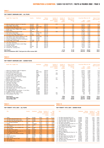### **TOP TWENTY DENMARK 2001 – ALL FILMS**

|    | English Title / Danish Title                                                             | Country          | <b>Distributor</b> | Release<br>year/week | Number of<br>admissions<br>accum. 17.03.02<br>(1000s) | Number of<br>admissions<br>2001<br>(1000s) | Share of total<br>admissions in<br>percent<br>(%) | Gross Box Office incl. VAT<br><b>DKK</b><br>(1000s) | <b>EURO</b><br>(1000s) | Share of total<br>GBO in percent<br>$(\%)$ |
|----|------------------------------------------------------------------------------------------|------------------|--------------------|----------------------|-------------------------------------------------------|--------------------------------------------|---------------------------------------------------|-----------------------------------------------------|------------------------|--------------------------------------------|
|    | 1 Italian for Beginners/ Italiensk for begyndere                                         | Denmark          | <b>SMD</b>         | 2000.49              | 819                                                   | 649                                        | 5.44                                              | 32.974                                              | 4.438                  | 5,10                                       |
|    | 2 Harry Potter/ Harry Potter                                                             | USA-GB           | <b>SMD</b>         | 2001.47              |                                                       | 629                                        | 5,28                                              | 38.403                                              | 5.169                  | 5,94                                       |
|    | 3 Anja & Viktor/ Anja & Viktor                                                           | Denmark          | <b>Buena Vista</b> | 2001.31              |                                                       | 572                                        | 4,80                                              | 30.373                                              | 4.088                  | 4,70                                       |
|    | 4 My Sister's Kids/Min søsters børn                                                      | Denmark          | <b>SMD</b>         | 2001.41              | 406                                                   | 395                                        | 3,31                                              | 18.734                                              | 2.521                  | 2,90                                       |
|    | 5 Bridget Jone's Diary/ Bridget Jones's dagbog                                           | <b>GB-USA-FR</b> | UIP                | 2001.30              |                                                       | 381                                        | 3,20                                              | 21.047                                              | 2.833                  | 3,26                                       |
|    | 6 Shrek/ Shrek                                                                           | <b>USA</b>       | UIP                | 2001.36              |                                                       | 364                                        | 3,06                                              | 18.816                                              | 2.533                  | 2,91                                       |
|    | 7 Shake It All About/ En kort en lang                                                    | <b>Denmark</b>   | Angel              | 2001.46              | 568                                                   | 329                                        | 2,76                                              | 15.997                                              | 2.153                  | 2.47                                       |
|    | 8 Pearl Harbor/ Pearl Harbor                                                             | <b>USA</b>       | Buena Vista        | 2001.26              |                                                       | 286                                        | 2,40                                              | 21.316                                              | 2.869                  | 3,30                                       |
|    | 9 The Lord of the Rings/ Ringenes Herre                                                  | USA-NZ           | SF-Film            | 2001.51              |                                                       | 281                                        | 2,36                                              | 21.309                                              | 2.868                  | 3,30                                       |
|    | 10 The Flying Granny/ Flyvende farmor                                                    | Denmark          | Nordisk            | 2001.06              |                                                       | 257                                        | 2,16                                              | 11.779                                              | 1.585                  | 1,82                                       |
|    | 11 The Emperor's New Groove/ Kejserens nye flip                                          | <b>USA</b>       | Buena Vista        | 2001.06              |                                                       | 244                                        | 2,05                                              | 11.434                                              | 1.539                  | 1,77                                       |
|    | 12 What Women Want/ What Women Want                                                      | <b>USA</b>       | Nordisk            | 2001.11              |                                                       | 236                                        | 1,98                                              | 13.593                                              | 1.829                  | 2,10                                       |
|    | 13 America's Sweethearts/America's Sweethearts                                           | <b>USA</b>       | SF-Film            | 2001.37              |                                                       | 212                                        | 1.78                                              | 9.587                                               | 1.290                  | 1.48                                       |
|    | 14 Moulin Rouge/ Moulin Rouge                                                            | AUS-USA          | SF-Film            | 2001.41              |                                                       | 205                                        | 1,72                                              | 11.933                                              | 1.606                  | 1,85                                       |
| 15 | One-hand Clapping/ At klappe med een hånd                                                | Denmark          | <b>SMD</b>         | 2001.33              |                                                       | 199                                        | 1.67                                              | 10.149                                              | 1.366                  | 1,57                                       |
|    | 16 Cast Away/ Cast Away                                                                  | <b>USA</b>       | UIP                | 2001.03              |                                                       | 180                                        | 1,51                                              | 11.104                                              | 1.495                  | 1,72                                       |
|    | 17 The Mummy Returns/ Mumien vender tilbage                                              | <b>USA</b>       | UIP                | 2001.20              |                                                       | 178                                        | 1,50                                              | 10.523                                              | 1.416                  | 1.63                                       |
|    | 18 Hannibal/ Hannibal                                                                    | <b>USA</b>       | UIP                | 2001.08              |                                                       | 174                                        | 1.46                                              | 10.546                                              | 1.419                  | 1,63                                       |
|    | 19 Tomb Raid/ Tomb Raider                                                                | USA-GB           | UIP                | 2001.29              |                                                       | 174                                        | 1,46                                              | 10.124                                              | 1.363                  | 1,57                                       |
|    | 20 American Pie / American Pie 2                                                         | <b>USA</b>       | UIP                | 2001.41              |                                                       | 168                                        | 1.41                                              | 9.671                                               | 1.302                  | 1,50                                       |
|    | <b>Total Top-20</b><br>Total of all admissions 2001/ Total gross box office revenue 2001 |                  | 6.116<br>11.921    | 51,30<br>51,30       | 339.412<br>646.410                                    | 45.681<br>87.000                           | 52.51<br>52,51                                    |                                                     |                        |                                            |

# **TABLE 8**

# **TOP TWENTY DENMARK 2001 – DANISH FILMS**

|   | Danish Title / English Title                                           | <b>Distributor</b> | Release<br>year/week | Number of<br>admissions<br>accum. 17.03.02<br>(1000s) | Number of<br>admissions<br>2001<br>(1000s) | Share of total<br>admissions in<br>percent<br>(%) | Gross Box Office incl. VAT<br><b>DKK</b><br>(1000s) | <b>EURO</b><br>(1000s)     | Share of total<br>GBO in percent<br>$(\%)$ |
|---|------------------------------------------------------------------------|--------------------|----------------------|-------------------------------------------------------|--------------------------------------------|---------------------------------------------------|-----------------------------------------------------|----------------------------|--------------------------------------------|
|   | 1 Italiensk for begyndere/ Italian for Beginners                       | SMD                | 2000.49              | 819                                                   | 649                                        | 5.44                                              | 32.974                                              | 4.438                      | 5.10                                       |
|   | 2 Anja & Viktor/ Anja & Viktor                                         | Buena Vista        | 2001.31              |                                                       | 572                                        | 4.80                                              | 30.373                                              | 4,088                      | 4.70                                       |
|   | 3 Min søsters børn/My Sister's Kids                                    | SMD                | 2001.41              | 406                                                   | 395                                        | 3.31                                              | 18.734                                              | 2,521                      | 2.90                                       |
|   | 4 En kort en lang/ Shake It all About                                  | Angel              | 2001.46              | 579                                                   | 329                                        | 2.76                                              | 15.997                                              | 2.153                      | 2.47                                       |
|   | 5 Flyvende farmor/ The Flying Granny                                   | Nordisk            | 2001.06              |                                                       | 257                                        | 2.16                                              | 11.779                                              | 1,585                      | 1.82                                       |
|   | 6 At klappe med een hånd/ One-hand Clapping                            | SMD                | 2001.33              |                                                       | 199                                        | 1.67                                              | 10,149                                              | 1,366                      | 1.57                                       |
|   | Bænken / The Bench                                                     | UIP                | 2000.00              | 227                                                   | 160                                        | 1.34                                              | 7,585                                               | 1,021                      | 1.17                                       |
| 8 | Blinkende lygter/ Flickering Lights                                    | UIP                | 2000.44              | 436                                                   | 142                                        | 1.19                                              | 7.412                                               | 998                        | 1.15                                       |
|   | 9 Ørkenens juvel/ Jewel of the Desert                                  | SF                 | 2001.05              |                                                       | 103                                        | 0.86                                              | 4.655                                               | 627                        | 0.72                                       |
|   | 10 Monas verden/ Mona's World                                          | Nordisk            | 2001.36              |                                                       | 100                                        | 0.84                                              | 5.579                                               | 751                        | 0.86                                       |
|   | 11 Jolly Roger/ Jolly Roger                                            | UIP                | 2001.41              |                                                       | 98                                         | 0.83                                              | 4.600                                               | 619                        | 0.71                                       |
|   | 12 Fukssvansen/ Chop Chop                                              | Nordisk            | 2001.44              |                                                       | 95                                         | 0.80                                              | 5.382                                               | 724                        | 0.83                                       |
|   | 13 Prop & Berta/ Prop & Berta                                          | UIP                | 2001.04              |                                                       | 85                                         | 0.71                                              | 3.685                                               | 496                        | 0.57                                       |
|   | 14 Send mere slik/ Send More Candy                                     | <b>SF</b>          | 2001.27              |                                                       | 76                                         | 0.64                                              | 3.428                                               | 461                        | 0.53                                       |
|   | 15 Olsen Banden Junior/ The Olsen Gang Junior                          | Nordisk            | 2001.50              | 194                                                   | 74                                         | 0.62                                              | 3.577                                               | 481                        | 0.55                                       |
|   | 16 Grev Axel/ Count Axel                                               | Nordisk            | 2001.14              |                                                       | 67                                         | 0.57                                              | 3.640                                               | 490                        | 0.56                                       |
|   | 17 En kærlighedshistorie/ Kira's Reason - A Love Story                 | SMD                | 2001.43              |                                                       | 63                                         | 0.53                                              | 3.418                                               | 460                        | 0.53                                       |
|   | 18 Et rigtigt menneske/ Truly Human                                    | Nordisk            | 2001.17              |                                                       | 54                                         | 0.45                                              | 2.951                                               | 397                        | 0.46                                       |
|   | 19 Hjælp! Jeg er en fisk/ Help! I'm a Fish                             | Nordisk            | 2000.49              | 354                                                   | 19                                         | 0.16                                              | 708                                                 | 95                         | 0.11                                       |
|   | 20 Pyrus på pletten/ Pixie Panic                                       | Nordisk            | 2000.47              | 120                                                   | 17                                         | 0.15                                              | 702                                                 | 94                         | 0.11                                       |
|   | Total Top-20<br><b>Total Danish films 2001</b><br>Total all films 2001 |                    |                      |                                                       | 3.556<br>3.631<br>11.921                   | 29,83<br>30.46<br>100.00                          | 177.327<br>180.532<br>646.410                       | 23.866<br>24.298<br>87.000 | 27,43<br>27.93<br>100.00                   |

#### **TABLE 9**

#### **TOP TWENTY 1976 –2001 – ALL FILMS**

|                 | Title                                    | Country        | <b>Distributor</b> | Release   | Number of     | <b>GBO</b>  |
|-----------------|------------------------------------------|----------------|--------------------|-----------|---------------|-------------|
|                 |                                          |                |                    | year/week | admissions    | incl. VAT   |
|                 |                                          |                |                    |           | acc. 31.12.01 | <b>EURO</b> |
|                 |                                          |                |                    |           | (1000s)       | (1000s)     |
|                 |                                          |                |                    |           |               |             |
| 1               | Titanic                                  | <b>USA</b>     | Nordisk            | 98.04     | 1,363         | 12,117      |
| $\overline{2}$  | The Olsen Gang Sees Red (nr. 8)          | <b>Denmark</b> | <b>Nordisk</b>     | 76.40     | 1,201         | 2,691       |
| 3               | One Flew Over the Cuckoo's Nest          | <b>USA</b>     | Nordisk            | 76.11     | 1,120         | 2,747       |
| 4               | The Olsen Gang Strikes Again (nr. 9)     | <b>Denmark</b> | <b>Nordisk</b>     | 77.39     | 1.045         | 2,553       |
| 5               | E.T. The Extra Terrestrial               | <b>USA</b>     | UIP                | 82.51     | 1,019         | 3,590       |
| 6               | Grease                                   | <b>USA</b>     | Cinnamon           | 78.37     | 1,006         | 2,614       |
| $7\overline{ }$ | The Olsen Gang Goes to War (nr. 10)      | <b>Denmark</b> | <b>Nordisk</b>     | 78.40     | 1,006         | 2,631       |
| 8               | Out of Afrika                            | <b>USA</b>     | UIP                | 86.08     | 999           | 5,992       |
| 9               | Walter and Carlo - Up on Daddy's Hat     | <b>Denmark</b> | <b>Nordisk</b>     | 85.48     | 954           | 3,717       |
| 10              | The Lion King                            | <b>USA</b>     | Buena              | 94.46     | 945           | 4,687       |
| 11              | The House of the Spirits                 | <b>Denmark</b> | Sandrew            | 93.50     | 941           | 5,865       |
| 12              | The Olsen Gang Never Surrenders (nr. 11) | <b>Denmark</b> | <b>Nordisk</b>     | 79.52     | 935           | 2,673       |
| 13              | In the Middle of the Night               | <b>Denmark</b> | <b>Nordisk</b>     | 84.10     | 923           | 3,416       |
| 14              | The Gyldenkål Family Breaks the Bank     | <b>Denmark</b> | Miracle            | 76.52     | 905           | 1,737       |
| 15              | Convoy                                   | <b>USA</b>     | <b>Nordisk</b>     | 79.04     | 890           | 2,513       |
| 16              | Dances with Wolves                       | <b>USA</b>     | Nordisk            | 91.19     | 884           | 5,999       |
| 17              | Pretty Woman                             | <b>USA</b>     | Buena              | 90.32     | 873           | 4,146       |
| 18              | Father of Four Goes to Town              | <b>Denmark</b> | Miracle            | 56.46     | 872           | 1,617       |
| 19              | The Crumbs                               | <b>Denmark</b> | Grasten            | 91.40     | 859           | 3,407       |
| 20              | The One and Only                         | <b>Denmark</b> | Sandrew            | 99.13     | 843           | 5,284       |

#### **TABLE 10**

#### **TOP TWENTY 1976 –2001 – DANISH FILMS**

|                | Title                                    | <b>Distributor</b> | Release<br>year/week | Number of<br>admissions<br>acc. 31.12.01<br>(1000s) | <b>GBO</b><br>incl. VAT<br><b>EURO</b><br>(1000s) |
|----------------|------------------------------------------|--------------------|----------------------|-----------------------------------------------------|---------------------------------------------------|
| 1              | The Olsen Gang Sees Red (nr. 8)          | Nordisk            | 76.40                | 1,201                                               | 2,691                                             |
| $\overline{2}$ | The Olsen Gang Strikes Again (nr. 9)     | Nordisk            | 77.39                | 1,045                                               | 2,553                                             |
| 3              | The Olsen Gang Goes to War (nr. 10)      | Nordisk            | 78.40                | 1,006                                               | 2,631                                             |
| 4              | Walter and Carlo - Up on Daddy's Hat     | Nordisk            | 85.48                | 954                                                 | 3,717                                             |
| 5              | The House of the Spirits                 | <b>SMD</b>         | 93.50                | 941                                                 | 5,865                                             |
| 6              | The Olsen Gang Never Surrenders (nr. 11) | Nordisk            | 79.52                | 935                                                 | 2,673                                             |
| 7              | In the Middle of the Night               | Nordisk            | 84.10                | 923                                                 | 3,416                                             |
| 8              | The Gyldenkål Family Breaks the Bank     | Miracle            | 76.52                | 905                                                 | 1,737                                             |
| 9              | Father of Four Goes to Town              | Miracle            | 56.46                | 872                                                 | 1.617                                             |
| 10             | The Crumbs                               | Grasten            | 91.40                | 859                                                 | 3.407                                             |
| 11             | The One and Only                         | <b>SMD</b>         | 99.13                | 843                                                 | 5,284                                             |
| 12             | Italian for Beginners                    | <b>SMD</b>         | 00.49                | 819                                                 | 5,599                                             |
| 13             | The Olsen Gang Jumps the Fence (nr. 12)  | Nordisk            | 81.42                | 811                                                 | 2,573                                             |
| 14             | Winter-born                              | Miracle            | 78.35                | 809                                                 | 2,078                                             |
| 15             | The Office Party                         | Miracle            | 76.47                | 727                                                 | 1,614                                             |
| 16             | The Olsen Gang Over the Hill (nr. 13)    | Nordisk            | 81.52                | 661                                                 | 2.092                                             |
| 17             | The Olsen Gang on the Track (nr. 7)      | Nordisk            | 75.39                | 648                                                 | 1,299                                             |
| 18             | Traditions, up yours!                    | Bio Film           | 79.38                | 639                                                 | 1,885                                             |
| 19             | The Olsen Gang - Final Mission (nr. 14)  | Nordisk            | 98.51                | 629                                                 | 4,130                                             |
| 20             | Chronic Innocence                        | Bio Film           | 85.40                | 605                                                 | 2,426                                             |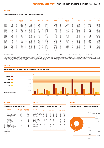#### **DANISH CINEMAS: ADMISSIONS / GROSS BOX OFFICE 1980–2001**

|      | <b>Admissions 1000s</b> |      |                 |    |            |      |       |   |              |        |    | <b>Gross Box Office Revenue (incl. VAT)</b> |    |            |    | <b>EURO 1000s</b> |          |        |
|------|-------------------------|------|-----------------|----|------------|------|-------|---|--------------|--------|----|---------------------------------------------|----|------------|----|-------------------|----------|--------|
|      | Danish                  | $\%$ | Europe<br>Other | %  | <b>USA</b> | $\%$ | Other | % | <b>Total</b> | Danish | %  | Europe<br>Other                             | %  | <b>USA</b> | %  | Other             | %        | Total  |
| 1980 | 3,720                   | 23   | 4,135           | 26 | 7,103      | 45   | 985   | 6 | 15,943       | 9,004  | 21 | 11,194                                      | 26 | 19,984     | 47 | 2,750             | 6        | 42,932 |
| 1981 | 4,101                   | 25   | 3,549           | 22 | 7,903      | 49   | 655   | 4 | 16,208       | 11,033 | 24 | 10,731                                      | 23 | 23,157     | 50 | 1,813             | 4        | 46,734 |
| 1982 | 2,995                   | 21   | 3,480           | 24 | 7,191      | 50   | 606   | 4 | 14,272       | 8,212  | 18 | 11,141                                      | 25 | 23,400     | 52 | 1,949             | 4        | 44,702 |
| 1983 | 2,830                   | 20   | 3,234           | 23 | 7,332      | 53   | 429   | 3 | 13,825       | 8,471  | 18 | 12,011                                      | 26 | 25,171     | 53 | 1,441             |          | 47,094 |
| 1984 | 2.754                   | 23   | 2,229           | 19 | 6,590      | 56   | 214   | 2 | 11,787       | 8,534  | 21 | 8,116                                       | 20 | 23,877     | 58 | 730               |          | 41,257 |
| 1985 | 2,193                   | 19   | 2,265           | 20 | 6,590      | 58   | 230   |   | 11,278       | 7,281  | 18 | 8,832                                       | 21 | 24,388     | 59 | 973               |          | 41,474 |
| 1986 | 2,867                   | 25   | 1,479           | 13 | 6,884      | 61   | 125   |   | 11,355       | 9,946  | 22 | 5,830                                       | 13 | 29,717     | 65 | 469               |          | 45,963 |
| 1987 | 2,441                   | 21   | 1.796           | 16 | 6,334      | 55   | 877   | 8 | 11,448       | 9,117  | 19 | 7,982                                       | 17 | 27,181     | 56 | 3,831             | 8        | 48,111 |
| 1988 | 1,906                   | 19   | 1.340           | 13 | 5,994      | 60   | 722   |   | 9,962        | 8,072  | 18 | 5,810                                       | 13 | 27,049     | 61 | 3,547             | 8        | 44,478 |
| 1989 | 1.704                   | 17   | 1,987           | 19 | 6,393      | 62   | 171   | 2 | 10,255       | 7,127  | 15 | 9,515                                       | 20 | 30,076     | 63 | 730               |          | 47,448 |
| 1990 | 1,639                   | 17   | 803             | 8  | 7,110      | 74   | 72    |   | 9,624        | 6,445  | 15 | 3,276                                       |    | 33,771     | 77 | 280               |          | 43,771 |
| 1991 | 1,193                   | 13   | 547             | 6  | 7,430      | 81   | 48    |   | 9,218        | 4,751  | 11 | 2,280                                       | 5  | 37,241     | 84 | 171               | 0        | 44,442 |
| 1992 | 1.577                   | 18   | 508             | 6  | 6,521      | 75   | 42    | 0 | 8,648        | 6,456  | 15 | 2,429                                       | 6  | 33,530     | 79 | 195               |          | 42,610 |
| 1993 | 1,761                   | 17   | 752             |    | 7,370      | 72   | 339   | 3 | 10,222       | 8,338  | 16 | 3,554                                       |    | 38,911     | 74 | 1.680             |          | 52,484 |
| 1994 | 2,318                   | 23   | 1,033           | 10 | 6,675      | 65   | 272   | 3 | 10,298       | 11,722 | 21 | 5,251                                       | 10 | 36,328     | 66 | 1,341             | 2        | 54,642 |
| 1995 | 776                     | 9    | 699             | 8  | 7,057      | 80   | 285   | 3 | 8,817        | 4,041  | 8  | 3,614                                       |    | 39,482     | 81 | 1.518             | 3        | 48,655 |
| 1996 | 1,660                   | 17   | 1,568           | 16 | 6,607      | 67   | 59    |   | 9,894        | 10,178 | 17 | 9,084                                       | 15 | 39,747     | 67 | 249               | 0        | 59,257 |
| 1997 | 2,239                   | 21   | 1.453           | 13 | 6,961      | 64   | 190   | 2 | 10,843       | 12,315 | 19 | 8,572                                       | 13 | 43,560     | 66 | 1,102             | 2        | 65,549 |
| 1998 | 1,589                   | 14   | 1.203           | 11 | 8,159      | 74   | 60    |   | 11,011       | 9,040  | 13 | 6,548                                       | 9  | 56,120     | 78 | 355               | $\Omega$ | 72,062 |
| 1999 | 3,006                   | 28   | 1.644           | 15 | 6,228      | 57   | 37    | 0 | 10,915       | 18,637 | 26 | 10,868                                      | 15 | 42,268     | 59 | 240               | $\Omega$ | 72,013 |
| 2000 | 2,050                   | 19   | 918             | 9  | 7,573      | 71   | 150   |   | 10,691       | 13,051 | 18 | 6,083                                       | 8  | 54,548     | 73 | 963               |          | 74,645 |
| 2001 | 3,631                   | 30   | 1,164           | 10 | 6,626      | 56   | 500   | 4 | 11,921       | 24,298 | 28 | 7,793                                       | 9  | 51,386     | 59 | 3,523             | 4        | 87,000 |

**COMMENTS** A) Public screenings not included in admission and revenue figures are estimated to be less than one percent of the total market. This includes: 1) Screenings at national film festivals. 2) Screenings of some shorts and documentaries, figures for which are unavailable. 3) Screenings by the few distributors/cinema proprietors who do not convey figures to Danmarks Statistik. B) Figures for admissions for Denmark<br>can include

#### **FIGURE 1**

#### **DANISH CINEMAS: AVERAGE NUMBER OF ADMISSIONS PER FILM 1995-2001**



**TABLE 12**

#### **TABLE 13**

#### **DISTRIBUTOR MARKET SHARE GBO, 1996 -2001**

|                | <b>Distributor</b>      | Number of<br>films | Admissions<br>percentage | Per         |
|----------------|-------------------------|--------------------|--------------------------|-------------|
| 1              | UIP                     | 95                 | 25.9                     | Nor         |
| $\overline{2}$ | Sandrew Metronome       | 115                | 24.5                     | San         |
| 3              | Nordisk (Egmont)        | 121                | 16.7                     | UIP         |
| 4              | Buena Vista             | 57                 | 13.8                     | Bue         |
| 5              | SF-Film                 | 77                 | 13.4                     | Sca         |
| 6              | Angel Film              | 17                 | 2.9                      | All I       |
| 7              | Camera Film             | 39                 | 0.9                      | Reg         |
| 8              | Øst for Paradis         | 47                 | 0.8                      | SF          |
| 9              | Miracle Film            | 59                 | 0.6                      | Ang         |
| 10             | Gloria Film             | 27                 | 0.6                      | Res         |
| 11             | Danish Film Institute   | 2                  | 0.0                      |             |
| 12             | Regner Grasten Film     | 4                  | 0.0                      | <b>Dise</b> |
| 13             | Posthus Teatret         | 1                  |                          |             |
| 14             | Zentropa Entertainments | 1                  |                          | Tot         |
|                | Discrepancy             | -1                 |                          |             |
| Total          |                         | 661                | 100                      |             |
|                |                         |                    |                          |             |

**DISTRIBUTOR MARKET SHARE 2001**

| Total             | 100            | 100      | 100  | 100                     | 100            | 100      | 100      |
|-------------------|----------------|----------|------|-------------------------|----------------|----------|----------|
| Discrepancy       |                |          | $-2$ |                         |                |          |          |
| Resten/ Remainder | $\overline{2}$ | 3        | 3    | $\overline{\mathbf{c}}$ | 1              | 3        | 2.2      |
| Angel Film        |                | $\cdots$ |      |                         | 2              | 3        | 2.5      |
| SF Film           |                |          |      | $\overline{\mathbf{c}}$ | 8              | 14       | 8.0      |
| Regner Grasten    | 6              | 3        | 0    | 4                       | 0              | 0        | 1.4      |
| All Right Films   | 6              | 17       | 3    | $\Omega$                | $\Omega$       | 0        | 4.0      |
| Scanbox           |                | $\cdots$ | 10   | 10                      | $\overline{2}$ | $\Omega$ | 5.5      |
| Buena Vista       | 14             | 18       | 12   | 16                      | 12             | 14       | 14.4     |
| UIP               | 24             | 13       | 14   | 15                      | 27             | 26       | 19.0     |
| Sandrew Metronome | 21             | 13       | 17   | 24                      | 18             | 24       | 19.2     |
| Nordisk (Egmont)  | 27             | 33       | 43   | 27                      | 30             | 16       | 23.4     |
|                   | 96             | 97       | 98   | .99                     | <b>'00</b>     | 01       | average  |
| Percentage        |                |          |      |                         |                |          | $5 - yr$ |

#### **FIGURE 2**

#### **DISTRIBUTOR MARKET SHARE, ADMISSIONS 2001**

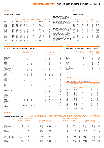**Note tabel 14:** Danish feature film releases: Column DK 1) shows a count of feature films by the DFI. Column DK 2) shows a count of all Danish films scree ned in cinemas, and accounted for by Danmarks Statistik; this column also includes short fiction and documentaries.

**Note tabel 18:** National market shares calculated using admissions recorded in the LUMIERE database differ from those announced by offcial sources/ Only 100% national and majority co-productions are taken into account for the calculation of LUMIERE markets shares, whereas national sources frequently include minority co-productions which have obtained<br>official recognition in the country in official recognition in the country

question.

**TABLE 17**

**CINEMAS 1986-2001**

Multi- 1-screen Total Total Total number cinemas cinemas screens seats

55 200

1986 90 131 221 406 70,315<br>1987 90 117 207 397 67,117<br>1988 86 109 195 381 62,730 1987 90 117 207 397 67,117 1988 86 109 195 381 62,730 1989 77 109 186 357 58,704 1990 73 107 180 347 57,130 1991 70 106 176 334 54,878<br>1991 70 106 176 334 54,878<br>1992 67 104 171 318 53,155 1992 67 104 171 318 53,155<br>1993 64 102 166 310 51,492<br>1994 63 98 161 309 49,700 1993 64 102 166 310 51,492 1994 63 98 161 309 49,700 1995 63 100 163 313 49,785 1996 65 101 166 322 49,951 1997 64 100 164 320 50,631 1998 65 101 166 328 50,634 1999 68 99 167 345 51,500 2000 67 97 164 350 55,000

#### **TABLE 14**

### **FILMS SCREENED 1986-2001**

|      |           | All films in circulation 2001 |     |           |       |    |                    | Hereof new releases 2001 1) |                  |    |     |
|------|-----------|-------------------------------|-----|-----------|-------|----|--------------------|-----------------------------|------------------|----|-----|
|      | <b>DK</b> | <b>Europe</b>                 |     | USA Other | All   |    | DK 1) DK 2) Europe |                             | <b>USA Other</b> |    | All |
| 1986 | 214       | 439                           | 667 | 57        | 1.377 | 11 | 11                 | 59                          | 142              | 8  | 220 |
| 1987 | 214       | 337                           | 597 | 34        | 1.182 | 11 | 12                 | 54                          | 142              | 11 | 219 |
| 1988 | 215       | 355                           | 608 | 38        | 1.216 | 15 | 16                 | 51                          | 168              | 6  | 241 |
| 1989 | 211       | 280                           | 503 | 33        | 1.027 | 18 | 16                 | 46                          | 126              | 13 | 201 |
| 1990 | 185       | 215                           | 411 | 30        | 841   | 13 | 13                 | 34                          | 120              | 6  | 173 |
| 1991 | 171       | 171                           | 408 | 21        | 771   | 9  | 9                  | 29                          | 105              | 4  | 147 |
| 1992 | 192       | 145                           | 342 | 17        | 696   | 11 | 9                  | 28                          | 92               | 5  | 134 |
| 1993 | 152       | 138                           | 307 | 14        | 611   | 10 | 11                 | 27                          | 109              | 5  | 152 |
| 1994 | 121       | 121                           | 274 | 24        | 540   | 14 | 14                 | 23                          | 102              | 12 | 151 |
| 1995 | 106       | 116                           | 275 | 27        | 524   | 13 | 12                 | 36                          | 91               | 11 | 150 |
| 1996 | 104       | 141                           | 290 | 23        | 558   | 20 | 22                 | 46                          | 110              | 5  | 183 |
| 1997 | 108       | 177                           | 273 | 25        | 583   | 16 | 17                 | 59                          | 89               | 5  | 170 |
| 1998 | 125       | 154                           | 258 | 24        | 561   | 18 | 23                 | 42                          | 101              | 10 | 176 |
| 1999 | 116       | 189                           | 289 | 26        | 620   | 16 | 22                 | 53                          | 95               | 6  | 176 |
| 2000 | 118       | 159                           | 315 | 29        | 621   | 17 | 21                 | 51                          | 108              | 12 | 192 |
| 2001 | 127       | 177                           | 323 | 34        | 661   | 19 | 24                 | 43                          | 92               | 13 | 172 |

#### **TABLE 15**

#### **COUNTRY OF ORIGIN (FILMS SCREENED) 1997-2001**

|                                  |                | New releases   | Number of films screened |                |        |                |                | All films in circulation |                |                |
|----------------------------------|----------------|----------------|--------------------------|----------------|--------|----------------|----------------|--------------------------|----------------|----------------|
|                                  | 97             | 98             | .99                      | <b>'00</b>     | 01     | '97            | 98             | 99                       | <b>'00</b>     | 01             |
|                                  |                |                |                          |                |        |                |                |                          |                |                |
| Asia (unidentified)              |                |                |                          |                |        |                |                |                          |                | 2              |
| Australia                        | 1              | $\overline{2}$ |                          |                | 3      | 4              | 5              | 4                        | $\mathbf{1}$   | 3              |
| Austria                          |                | 1              |                          | 1              |        | 2              | 1              |                          | $\overline{2}$ | 3              |
| Belgium<br>Bhutan                | $\overline{2}$ |                | $\overline{2}$           | 3<br>1         |        | 3              | 4              | 3                        | 5              | 4              |
| Brazil                           |                | 1              | 1                        |                |        |                | 1<br>1         | $\overline{2}$           | 1<br>1         | 1<br>1         |
| Canada                           | 1              | 1              | $\overline{2}$           | 5              |        | 3              | 4              | 3                        | 8              | 6              |
|                                  |                | 1              | 1                        | $\overline{2}$ |        |                | 1              | $\overline{2}$           | 3              | 4              |
| China, People's Republic<br>Cuba |                |                |                          |                | 1<br>1 | 1              | 1              |                          |                | 1              |
| Czech Republic                   | 1              |                |                          |                |        | 1              | 1              | 1                        | 1              |                |
| Denmark                          | 17             | 18             | 17                       | 17             | 19     | 108            | 125            | 116                      | 118            | 127            |
| Denmark (shorts&docs)            |                | 5              | 5                        | 4              | 5      |                |                |                          |                |                |
| Europe (uncategorized)           |                |                |                          |                |        | $\overline{2}$ |                | 2                        | 2              |                |
| Finland                          | 1              |                | 1                        |                | 1      | 3              | 3              | $\overline{2}$           | 1              | 4              |
| France                           | 14             | 8              | 11                       | 14             | 13     | 50             | 38             | 44                       | 36             | 45             |
| Germany                          | 1              | $\overline{2}$ | 5                        | 6              | 3      | 13             | 11             | 12                       | 12             | 12             |
| Great Britain                    | 18             | 15             | 16                       | 12             | 9      | 48             | 47             | 66                       | 45             | 52             |
| Greece                           | 1              |                |                          |                |        | 1              | 1              | 1                        |                |                |
| Hong Kong                        | $\overline{2}$ | 1              |                          | 1              | 1      | 6              | 4              | 3                        | 6              | 1              |
| Iceland                          | $\overline{2}$ |                |                          |                | 4      | $\overline{2}$ | $\overline{2}$ | 1                        | 1              | 5              |
| Irak                             |                |                | 1                        |                |        |                |                | 1                        |                | 1              |
| Iran                             |                |                | 1                        |                | 1      |                |                | 1                        | $\mathbf{1}$   | 1              |
| Ireland                          |                | 1              | $\overline{2}$           | 1              |        | 3              | 3              | 6                        | 5              | $\overline{2}$ |
| Italy                            | 6              | 1              | 4                        | 2              | 3      | 18             | 9              | 9                        | 8              | 9              |
| Japan                            |                | 4              |                          | 3              | 4      | 1              | 5              | 4                        | $\overline{7}$ | 8              |
| Latvia                           |                |                |                          |                |        | 1              | 1              | 1                        | 1              | 1              |
| Mexico                           |                |                |                          |                | 1      | $\overline{2}$ |                | 1                        |                | 1              |
| Netherlands, The                 | $\overline{2}$ | 3              |                          | 1              |        | $\overline{2}$ | 5              | 5                        | 3              | 4              |
| New Zealand                      |                |                |                          |                |        | 3              | 1              | $\overline{2}$           |                | 1              |
| Norway                           | $\overline{2}$ | 3              | 3                        | 3              | 1      | 4              | 5              | 9                        | 6              | 5              |
| Poland                           |                |                |                          |                | 1      | 1              |                |                          |                | 1              |
| Portugal                         | 1              |                |                          |                |        | 1              |                |                          |                |                |
| Russia                           | 1              |                |                          |                |        | 1              | 1              | 1                        |                |                |
| South Korea                      | 1              |                |                          |                |        | 1              |                |                          | 1              |                |
| Spain                            | $\overline{2}$ | $\overline{2}$ | 5                        | 1              | 2      | 6              | 5              | 8                        | 9              | 5              |
| Sweden                           | 4              | 6              | 4                        | 7              | 6      | 14             | 16             | 17                       | 22             | 25             |
| Switzerland                      | 1              |                |                          |                |        | 1              | 1              | 1                        |                |                |
| Taiwan                           |                |                |                          |                |        | $\overline{2}$ |                | 1                        |                | 1              |
| Tunisia                          |                |                |                          |                | 1      | 1              | 1              | 1                        |                | 2              |
| <b>USA</b>                       | 89             | 101            | 95                       | 108            | 92     | 273            | 258            | 289                      | 315            | 323            |
| Vietnam                          |                |                |                          |                |        | 1              |                | 1                        |                |                |
|                                  |                |                |                          |                |        |                |                |                          |                |                |
| <b>Total</b>                     | 170            | 176            | 176                      | 192            | 172    | 583            | 561            | 620                      | 621            | 661            |

# **TABLE 18**

## **ADMISSIONS – NATIONAL MARKET SHARES – EUROPE**

|                 | Average for the period<br>1996-2000<br>% | <b>National</b><br>film bodies<br>2001<br>% | <b>LUMIERE</b><br>database<br>2001<br>$\%$ |
|-----------------|------------------------------------------|---------------------------------------------|--------------------------------------------|
|                 |                                          |                                             |                                            |
| France          | 34                                       | 41                                          | 39                                         |
| Denmark         | 19                                       | 30                                          | 30                                         |
| Turkey          |                                          |                                             | 27                                         |
| Sweden          | 21                                       | 25                                          | 23                                         |
| Norway          |                                          | 14,5                                        | 20                                         |
| Spain           | 12                                       | 18                                          | 17                                         |
| Italy           | 26                                       | 19                                          | 17                                         |
| Germany         | 13                                       | 18                                          | 16                                         |
| Great Britain   | 19                                       | $\cdots$                                    | 12                                         |
| The Netherlands |                                          | 10                                          | 9                                          |
| Estonia         |                                          | 4                                           | 2                                          |
| Switzerland     |                                          | 3                                           | 2                                          |
| Belgium         |                                          |                                             | 1                                          |

#### **TABLE 19**

#### **TICKET PRICE / FILM RENTAL 1986-2001**

| Average film rental |           |        | Average ticket price incl.VAT |      |
|---------------------|-----------|--------|-------------------------------|------|
| Danish              | All films |        |                               |      |
| %                   | %         | (EURO) | (DKK)                         |      |
| 45                  | 42        |        | 30.07                         | 1986 |
| 46                  | 42        |        | 31.22                         | 1987 |
| 46                  | 42        |        | 33.17                         | 1988 |
| 46                  | 43        |        | 34.38                         | 1989 |
| 42                  | 42        |        | 33.79                         | 1990 |
| 45                  | 41        |        | 35.82                         | 1991 |
| 44                  | 42        |        | 36.61                         | 1992 |
| 45                  | 43        |        | 38.15                         | 1993 |
| 44                  | 43        |        | 39.43                         | 1994 |
| 41                  | 42        |        | 41.00                         | 1995 |
| 42                  | 44        |        | 44.50                         | 1996 |
| 45                  | 45        |        | 44.93                         | 1997 |
| 45                  | 45        |        | 48.78                         | 1998 |
| 44                  | 48        |        | 49.03                         | 1999 |
| 45                  | 44        |        | 51.90                         | 2000 |
| 43                  | 44        | 7.30   | 54.20                         | 2001 |

**TABLE 16**

**REGIONAL MARKET SHARE 2001** ALL FILMS IN CIRCULATION 2001 HEREOF NEW RELEASES 2001 Number of Admissions Gross Box Office incl. vat Number of Admissions Gross Box Office incl. vat EURO EURO EURO<br>DKK EURO EURO titles titles and the state of the EURO of the state of the state of the state of the state of the state of the state o (1000S) (%) (1000s) (1000s) (%) (1000s) (%) (1000s) (1000s) (%) Europe 304 4,796 40 238,438 32,091 37 67 3,647 37 183,012 24,632 33 North America 329 6,654 56 383,316 51,590 59 92 6,041 60 352,583 47,454 64 South/Central America 3 14 0 759 102 0 2 14 0 753 102 0 Africa 2 0,7 0 31 4 0 1 0,7 0 5,203 700 1 Asia 19 236 2 11,058 1,489 2 7 114 1 12,804 1,723 2 Australasia 4 221 2 12,808 1,724 2 3 221 2 31 4 0 **TOTAL 661 11,921 100 646,410 87,000 100 172 10,037 100 554,386 74,615 100** Denmark (feature films) 127 3,631 30 180,532 24,298 28 19 2,605 26 129,787 17,468 23<br>Denmark (shorts & documentaries) [\*] … … … … … … … … … 5 6 0 276 37 0 EU excl. Denmark 165 1,101 9 55,207 7,430 9 37 986 10 50,544 6,803 9 USA 323 6,627 56 381,798 51,386 59 92 6,041 60 352,583 47,454 64 Remainder 46 562 5 28,873 3,886 4 19 399 4 21,196 2,853 4 [\*] Family (1909 admissions/ GBO dkk 77,718 ex.vat); Detour to Freedom (707 admissions / GBO dkk 23,520 ex.vat); Faith, Love and Charity (48 admissions / GBO dkk 1,896 ex.vat); Portrait of God (2,836 admissions / GBO dkk 114,705 ex.vat; Seasons of Blood and Hope 74 admissions / dkk 2.612 GBO ex.vat)